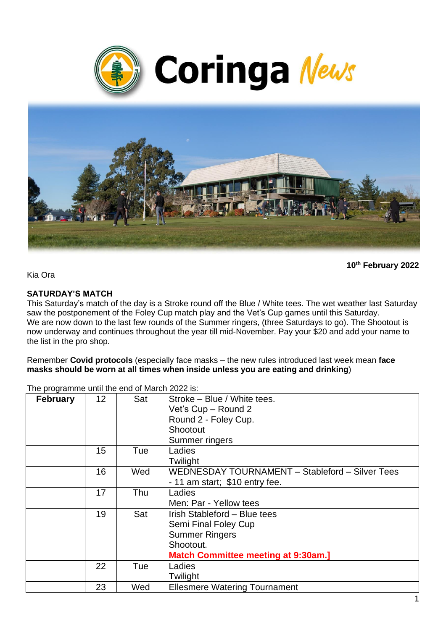



**10th February 2022**

Kia Ora

#### **SATURDAY'S MATCH**

This Saturday's match of the day is a Stroke round off the Blue / White tees. The wet weather last Saturday saw the postponement of the Foley Cup match play and the Vet's Cup games until this Saturday. We are now down to the last few rounds of the Summer ringers, (three Saturdays to go). The Shootout is now underway and continues throughout the year till mid-November. Pay your \$20 and add your name to the list in the pro shop.

Remember **Covid protocols** (especially face masks – the new rules introduced last week mean **face masks should be worn at all times when inside unless you are eating and drinking**)

| . <del>.</del> .<br><b>February</b> | 12 | Sat | Stroke - Blue / White tees.<br>Vet's Cup - Round 2<br>Round 2 - Foley Cup.<br>Shootout<br>Summer ringers                                 |
|-------------------------------------|----|-----|------------------------------------------------------------------------------------------------------------------------------------------|
|                                     | 15 | Tue | Ladies<br>Twilight                                                                                                                       |
|                                     | 16 | Wed | WEDNESDAY TOURNAMENT - Stableford - Silver Tees<br>$-11$ am start; \$10 entry fee.                                                       |
|                                     | 17 | Thu | Ladies<br>Men: Par - Yellow tees                                                                                                         |
|                                     | 19 | Sat | Irish Stableford - Blue tees<br>Semi Final Foley Cup<br><b>Summer Ringers</b><br>Shootout.<br><b>Match Committee meeting at 9:30am.]</b> |
|                                     | 22 | Tue | Ladies<br>Twilight                                                                                                                       |
|                                     | 23 | Wed | <b>Ellesmere Watering Tournament</b>                                                                                                     |

The programme until the end of March 2022 is: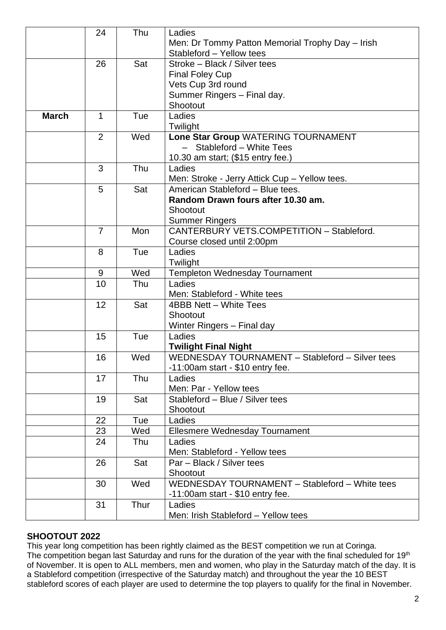|              | 24             | Thu  | Ladies                                           |
|--------------|----------------|------|--------------------------------------------------|
|              |                |      | Men: Dr Tommy Patton Memorial Trophy Day - Irish |
|              |                |      | Stableford - Yellow tees                         |
|              | 26             | Sat  | Stroke - Black / Silver tees                     |
|              |                |      | <b>Final Foley Cup</b>                           |
|              |                |      | Vets Cup 3rd round                               |
|              |                |      | Summer Ringers - Final day.                      |
|              |                |      | Shootout                                         |
| <b>March</b> | 1              | Tue  | Ladies                                           |
|              |                |      | Twilight                                         |
|              | $\overline{2}$ | Wed  | Lone Star Group WATERING TOURNAMENT              |
|              |                |      | - Stableford - White Tees                        |
|              |                |      | 10.30 am start; (\$15 entry fee.)                |
|              | 3              | Thu  | Ladies                                           |
|              |                |      | Men: Stroke - Jerry Attick Cup - Yellow tees.    |
|              | 5              | Sat  | American Stableford - Blue tees.                 |
|              |                |      | Random Drawn fours after 10.30 am.               |
|              |                |      | Shootout                                         |
|              |                |      | <b>Summer Ringers</b>                            |
|              | $\overline{7}$ | Mon  | CANTERBURY VETS.COMPETITION - Stableford.        |
|              |                |      | Course closed until 2:00pm                       |
|              | 8              | Tue  | Ladies                                           |
|              |                |      | Twilight                                         |
|              | 9              | Wed  | <b>Templeton Wednesday Tournament</b>            |
|              | 10             | Thu  | Ladies                                           |
|              |                |      | Men: Stableford - White tees                     |
|              | 12             | Sat  | 4BBB Nett - White Tees                           |
|              |                |      | Shootout                                         |
|              |                |      |                                                  |
|              | 15             | Tue  | <b>Winter Ringers - Final day</b><br>Ladies      |
|              |                |      | <b>Twilight Final Night</b>                      |
|              | 16             | Wed  | WEDNESDAY TOURNAMENT - Stableford - Silver tees  |
|              |                |      |                                                  |
|              |                |      | $-11:00$ am start - \$10 entry fee.              |
|              | 17             | Thu  | Ladies                                           |
|              |                |      | Men: Par - Yellow tees                           |
|              | 19             | Sat  | Stableford - Blue / Silver tees                  |
|              |                |      | Shootout                                         |
|              | 22             | Tue  | Ladies                                           |
|              | 23             | Wed  | <b>Ellesmere Wednesday Tournament</b>            |
|              | 24             | Thu  | Ladies                                           |
|              |                |      | Men: Stableford - Yellow tees                    |
|              | 26             | Sat  | Par - Black / Silver tees                        |
|              |                |      | Shootout                                         |
|              | 30             | Wed  | WEDNESDAY TOURNAMENT - Stableford - White tees   |
|              |                |      | $-11:00$ am start - \$10 entry fee.              |
|              | 31             | Thur | Ladies                                           |
|              |                |      | Men: Irish Stableford - Yellow tees              |

# **SHOOTOUT 2022**

This year long competition has been rightly claimed as the BEST competition we run at Coringa. The competition began last Saturday and runs for the duration of the year with the final scheduled for 19<sup>th</sup> of November. It is open to ALL members, men and women, who play in the Saturday match of the day. It is a Stableford competition (irrespective of the Saturday match) and throughout the year the 10 BEST stableford scores of each player are used to determine the top players to qualify for the final in November.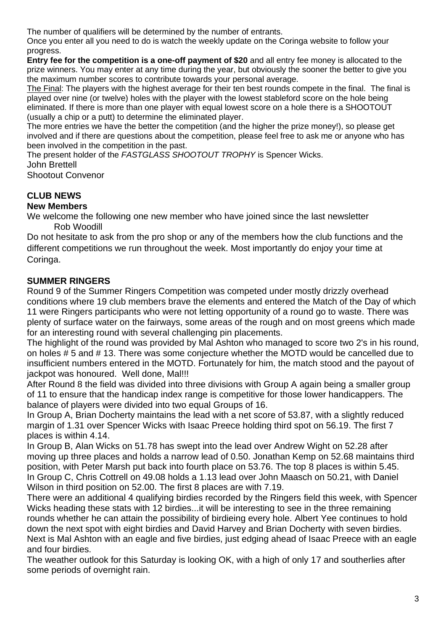The number of qualifiers will be determined by the number of entrants.

Once you enter all you need to do is watch the weekly update on the Coringa website to follow your progress.

**Entry fee for the competition is a one-off payment of \$20** and all entry fee money is allocated to the prize winners. You may enter at any time during the year, but obviously the sooner the better to give you the maximum number scores to contribute towards your personal average.

The Final: The players with the highest average for their ten best rounds compete in the final. The final is played over nine (or twelve) holes with the player with the lowest stableford score on the hole being eliminated. If there is more than one player with equal lowest score on a hole there is a SHOOTOUT (usually a chip or a putt) to determine the eliminated player.

The more entries we have the better the competition (and the higher the prize money!), so please get involved and if there are questions about the competition, please feel free to ask me or anyone who has been involved in the competition in the past.

The present holder of the *FASTGLASS SHOOTOUT TROPHY* is Spencer Wicks.

John Brettell

Shootout Convenor

#### **CLUB NEWS New Members**

We welcome the following one new member who have joined since the last newsletter Rob Woodill

Do not hesitate to ask from the pro shop or any of the members how the club functions and the different competitions we run throughout the week. Most importantly do enjoy your time at Coringa.

# **SUMMER RINGERS**

Round 9 of the Summer Ringers Competition was competed under mostly drizzly overhead conditions where 19 club members brave the elements and entered the Match of the Day of which 11 were Ringers participants who were not letting opportunity of a round go to waste. There was plenty of surface water on the fairways, some areas of the rough and on most greens which made for an interesting round with several challenging pin placements.

The highlight of the round was provided by Mal Ashton who managed to score two 2's in his round, on holes # 5 and # 13. There was some conjecture whether the MOTD would be cancelled due to insufficient numbers entered in the MOTD. Fortunately for him, the match stood and the payout of jackpot was honoured. Well done, Mal!!!

After Round 8 the field was divided into three divisions with Group A again being a smaller group of 11 to ensure that the handicap index range is competitive for those lower handicappers. The balance of players were divided into two equal Groups of 16.

In Group A, Brian Docherty maintains the lead with a net score of 53.87, with a slightly reduced margin of 1.31 over Spencer Wicks with Isaac Preece holding third spot on 56.19. The first 7 places is within 4.14.

In Group B, Alan Wicks on 51.78 has swept into the lead over Andrew Wight on 52.28 after moving up three places and holds a narrow lead of 0.50. Jonathan Kemp on 52.68 maintains third position, with Peter Marsh put back into fourth place on 53.76. The top 8 places is within 5.45. In Group C, Chris Cottrell on 49.08 holds a 1.13 lead over John Maasch on 50.21, with Daniel Wilson in third position on 52.00. The first 8 places are with 7.19.

There were an additional 4 qualifying birdies recorded by the Ringers field this week, with Spencer Wicks heading these stats with 12 birdies...it will be interesting to see in the three remaining rounds whether he can attain the possibility of birdieing every hole. Albert Yee continues to hold down the next spot with eight birdies and David Harvey and Brian Docherty with seven birdies. Next is Mal Ashton with an eagle and five birdies, just edging ahead of Isaac Preece with an eagle and four birdies.

The weather outlook for this Saturday is looking OK, with a high of only 17 and southerlies after some periods of overnight rain.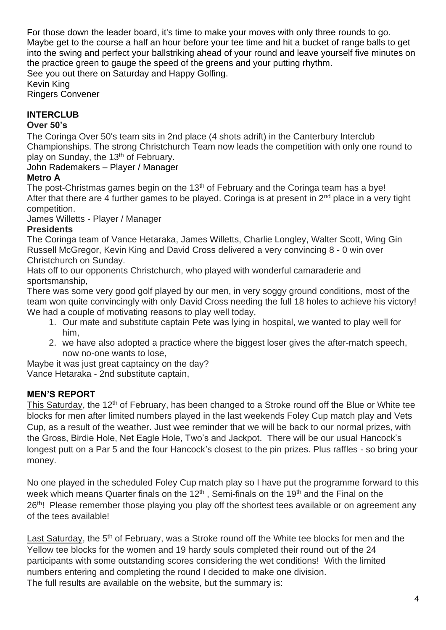For those down the leader board, it's time to make your moves with only three rounds to go. Maybe get to the course a half an hour before your tee time and hit a bucket of range balls to get into the swing and perfect your ballstriking ahead of your round and leave yourself five minutes on the practice green to gauge the speed of the greens and your putting rhythm. See you out there on Saturday and Happy Golfing.

Kevin King Ringers Convener

# **INTERCLUB**

# **Over 50's**

The Coringa Over 50's team sits in 2nd place (4 shots adrift) in the Canterbury Interclub Championships. The strong Christchurch Team now leads the competition with only one round to play on Sunday, the 13<sup>th</sup> of February.

John Rademakers – Player / Manager

### **Metro A**

The post-Christmas games begin on the 13<sup>th</sup> of February and the Coringa team has a bye! After that there are 4 further games to be played. Coringa is at present in  $2<sup>nd</sup>$  place in a very tight competition.

James Willetts - Player / Manager

### **Presidents**

The Coringa team of Vance Hetaraka, James Willetts, Charlie Longley, Walter Scott, Wing Gin Russell McGregor, Kevin King and David Cross delivered a very convincing 8 - 0 win over Christchurch on Sunday.

Hats off to our opponents Christchurch, who played with wonderful camaraderie and sportsmanship,

There was some very good golf played by our men, in very soggy ground conditions, most of the team won quite convincingly with only David Cross needing the full 18 holes to achieve his victory! We had a couple of motivating reasons to play well today,

- 1. Our mate and substitute captain Pete was lying in hospital, we wanted to play well for him,
- 2. we have also adopted a practice where the biggest loser gives the after-match speech, now no-one wants to lose,

Maybe it was just great captaincy on the day? Vance Hetaraka - 2nd substitute captain,

### **MEN'S REPORT**

This Saturday, the 12<sup>th</sup> of February, has been changed to a Stroke round off the Blue or White tee blocks for men after limited numbers played in the last weekends Foley Cup match play and Vets Cup, as a result of the weather. Just wee reminder that we will be back to our normal prizes, with the Gross, Birdie Hole, Net Eagle Hole, Two's and Jackpot. There will be our usual Hancock's longest putt on a Par 5 and the four Hancock's closest to the pin prizes. Plus raffles - so bring your money.

No one played in the scheduled Foley Cup match play so I have put the programme forward to this week which means Quarter finals on the 12<sup>th</sup>, Semi-finals on the 19<sup>th</sup> and the Final on the 26<sup>th</sup>! Please remember those playing you play off the shortest tees available or on agreement any of the tees available!

Last Saturday, the 5<sup>th</sup> of February, was a Stroke round off the White tee blocks for men and the Yellow tee blocks for the women and 19 hardy souls completed their round out of the 24 participants with some outstanding scores considering the wet conditions! With the limited numbers entering and completing the round I decided to make one division. The full results are available on the website, but the summary is: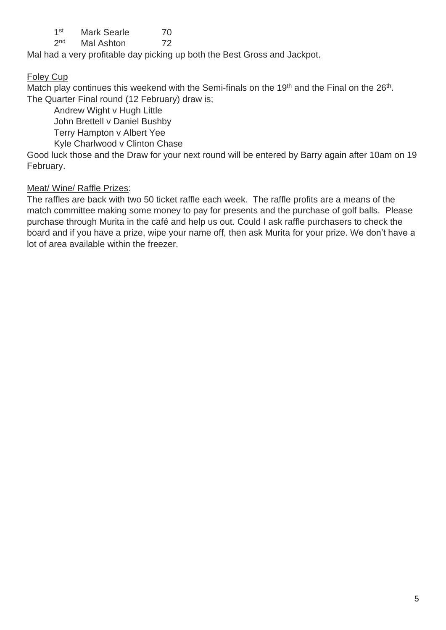$1<sup>st</sup>$ Mark Searle 70

 $2<sub>nd</sub>$ Mal Ashton 72

Mal had a very profitable day picking up both the Best Gross and Jackpot.

# Foley Cup

Match play continues this weekend with the Semi-finals on the 19<sup>th</sup> and the Final on the 26<sup>th</sup>. The Quarter Final round (12 February) draw is;

Andrew Wight v Hugh Little

John Brettell v Daniel Bushby

Terry Hampton v Albert Yee

Kyle Charlwood v Clinton Chase

Good luck those and the Draw for your next round will be entered by Barry again after 10am on 19 February.

# Meat/ Wine/ Raffle Prizes:

The raffles are back with two 50 ticket raffle each week. The raffle profits are a means of the match committee making some money to pay for presents and the purchase of golf balls. Please purchase through Murita in the café and help us out. Could I ask raffle purchasers to check the board and if you have a prize, wipe your name off, then ask Murita for your prize. We don't have a lot of area available within the freezer.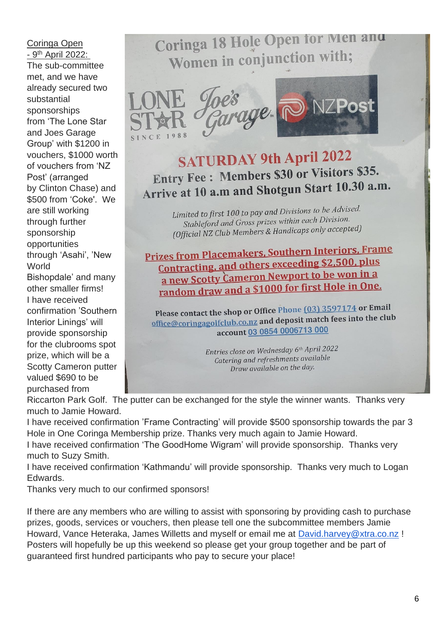#### Coringa Open - 9<sup>th</sup> April 2022:

The sub-committee met, and we have already secured two substantial sponsorships from 'The Lone Star and Joes Garage Group' with \$1200 in vouchers, \$1000 worth of vouchers from 'NZ Post' (arranged by Clinton Chase) and \$500 from 'Coke'. We are still working through further sponsorship opportunities through 'Asahi', 'New **World** Bishopdale' and many other smaller firms! I have received confirmation 'Southern Interior Linings' will provide sponsorship for the clubrooms spot prize, which will be a Scotty Cameron putter valued \$690 to be purchased from

# Coringa 18 Hole Open for Men and Women in conjunction with;







**SATURDAY 9th April 2022** Entry Fee : Members \$30 or Visitors \$35. Arrive at 10 a.m and Shotgun Start 10.30 a.m.

> Limited to first 100 to pay and Divisions to be Advised. nited to first 100 to pay and *Elvision*.<br>Stableford and Gross prizes within each Division. Stableford and Gross prizes within each binary<br>(Official NZ Club Members & Handicaps only accepted)

<u>Prizes from Placemakers, Southern Interiors, Frame</u> <u>res from Placemakers, Southern Messexton</u><br>Contracting, and others exceeding \$2,500, plus a new Scotty Cameron Newport to be won in a a new Scotty Cameron Review 2010 for first Hole in One.

Please contact the shop or Office Phone (03) 3597174 or Email Please contact the shop or Unite Phone to the contract the shop or United Phone Contract match fees into the club<br>office@coringagolfclub.co.nz and deposit match fees into the club account 03 0854 0006713 000

> Entries close on Wednesday 6th April 2022 Catering and refreshments available Draw available on the day.

Riccarton Park Golf. The putter can be exchanged for the style the winner wants. Thanks very much to Jamie Howard.

I have received confirmation 'Frame Contracting' will provide \$500 sponsorship towards the par 3 Hole in One Coringa Membership prize. Thanks very much again to Jamie Howard.

I have received confirmation 'The GoodHome Wigram' will provide sponsorship. Thanks very much to Suzy Smith.

I have received confirmation 'Kathmandu' will provide sponsorship. Thanks very much to Logan Edwards.

Thanks very much to our confirmed sponsors!

If there are any members who are willing to assist with sponsoring by providing cash to purchase prizes, goods, services or vouchers, then please tell one the subcommittee members Jamie Howard, Vance Heteraka, James Willetts and myself or email me at [David.harvey@xtra.co.nz](mailto:David.harvey@xtra.co.nz) ! Posters will hopefully be up this weekend so please get your group together and be part of guaranteed first hundred participants who pay to secure your place!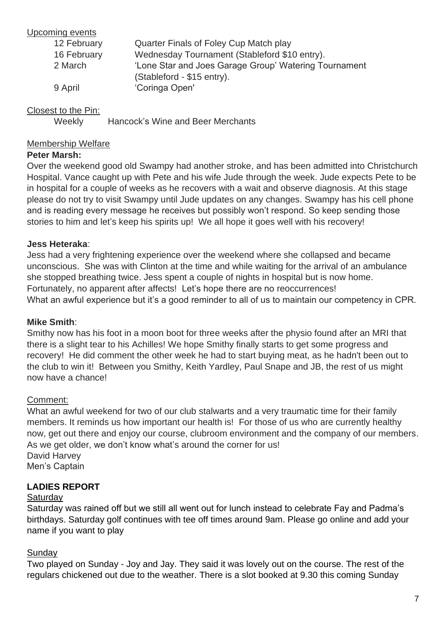#### Upcoming events

| 12 February | Quarter Finals of Foley Cup Match play                                              |
|-------------|-------------------------------------------------------------------------------------|
| 16 February | Wednesday Tournament (Stableford \$10 entry).                                       |
| 2 March     | 'Lone Star and Joes Garage Group' Watering Tournament<br>(Stableford - \$15 entry). |
| 9 April     | 'Coringa Open'                                                                      |

# Closest to the Pin:

Weekly Hancock's Wine and Beer Merchants

#### Membership Welfare

### **Peter Marsh:**

Over the weekend good old Swampy had another stroke, and has been admitted into Christchurch Hospital. Vance caught up with Pete and his wife Jude through the week. Jude expects Pete to be in hospital for a couple of weeks as he recovers with a wait and observe diagnosis. At this stage please do not try to visit Swampy until Jude updates on any changes. Swampy has his cell phone and is reading every message he receives but possibly won't respond. So keep sending those stories to him and let's keep his spirits up! We all hope it goes well with his recovery!

#### **Jess Heteraka**:

Jess had a very frightening experience over the weekend where she collapsed and became unconscious. She was with Clinton at the time and while waiting for the arrival of an ambulance she stopped breathing twice. Jess spent a couple of nights in hospital but is now home. Fortunately, no apparent after affects! Let's hope there are no reoccurrences! What an awful experience but it's a good reminder to all of us to maintain our competency in CPR.

#### **Mike Smith**:

Smithy now has his foot in a moon boot for three weeks after the physio found after an MRI that there is a slight tear to his Achilles! We hope Smithy finally starts to get some progress and recovery! He did comment the other week he had to start buying meat, as he hadn't been out to the club to win it! Between you Smithy, Keith Yardley, Paul Snape and JB, the rest of us might now have a chance!

#### Comment:

What an awful weekend for two of our club stalwarts and a very traumatic time for their family members. It reminds us how important our health is! For those of us who are currently healthy now, get out there and enjoy our course, clubroom environment and the company of our members. As we get older, we don't know what's around the corner for us! David Harvey Men's Captain

### **LADIES REPORT**

#### **Saturdav**

Saturday was rained off but we still all went out for lunch instead to celebrate Fay and Padma's birthdays. Saturday golf continues with tee off times around 9am. Please go online and add your name if you want to play

#### **Sunday**

Two played on Sunday - Joy and Jay. They said it was lovely out on the course. The rest of the regulars chickened out due to the weather. There is a slot booked at 9.30 this coming Sunday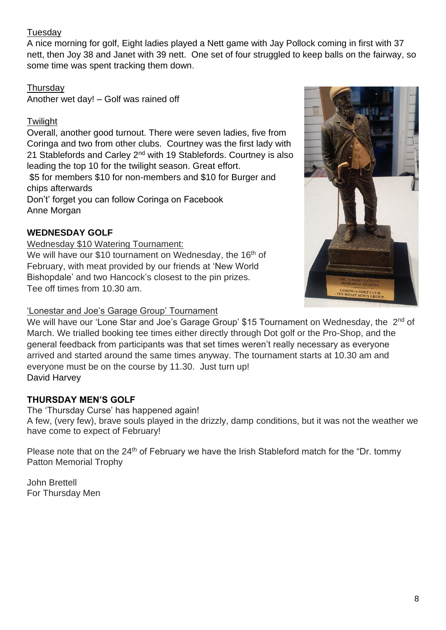# Tuesday

A nice morning for golf, Eight ladies played a Nett game with Jay Pollock coming in first with 37 nett, then Joy 38 and Janet with 39 nett. One set of four struggled to keep balls on the fairway, so some time was spent tracking them down.

# **Thursdav**

Another wet day! – Golf was rained off

# **Twilight**

Overall, another good turnout. There were seven ladies, five from Coringa and two from other clubs. Courtney was the first lady with 21 Stablefords and Carley 2<sup>nd</sup> with 19 Stablefords. Courtney is also leading the top 10 for the twilight season. Great effort.

\$5 for members \$10 for non-members and \$10 for Burger and chips afterwards

Don't' forget you can follow Coringa on Facebook Anne Morgan

# **WEDNESDAY GOLF**

#### Wednesday \$10 Watering Tournament:

We will have our \$10 tournament on Wednesday, the 16<sup>th</sup> of February, with meat provided by our friends at 'New World Bishopdale' and two Hancock's closest to the pin prizes. Tee off times from 10.30 am.

# 'Lonestar and Joe's Garage Group' Tournament



We will have our 'Lone Star and Joe's Garage Group' \$15 Tournament on Wednesday, the 2<sup>nd</sup> of March. We trialled booking tee times either directly through Dot golf or the Pro-Shop, and the general feedback from participants was that set times weren't really necessary as everyone arrived and started around the same times anyway. The tournament starts at 10.30 am and everyone must be on the course by 11.30. Just turn up! David Harvey

# **THURSDAY MEN'S GOLF**

The 'Thursday Curse' has happened again! A few, (very few), brave souls played in the drizzly, damp conditions, but it was not the weather we have come to expect of February!

Please note that on the 24<sup>th</sup> of February we have the Irish Stableford match for the "Dr. tommy Patton Memorial Trophy

John Brettell For Thursday Men